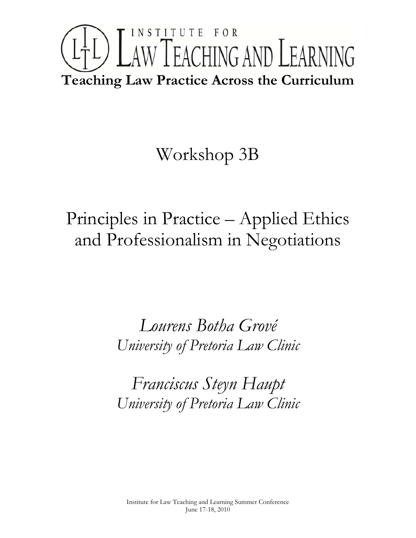# INSTITUTE FOR LTL) LAW TEACHING AND LEARNING **Teaching Law Practice Across the Curriculum**

# Workshop 3B

Principles in Practice – Applied Ethics and Professionalism in Negotiations

> *Lourens Botha Grové University of Pretoria Law Clinic*

> *Franciscus Steyn Haupt University of Pretoria Law Clinic*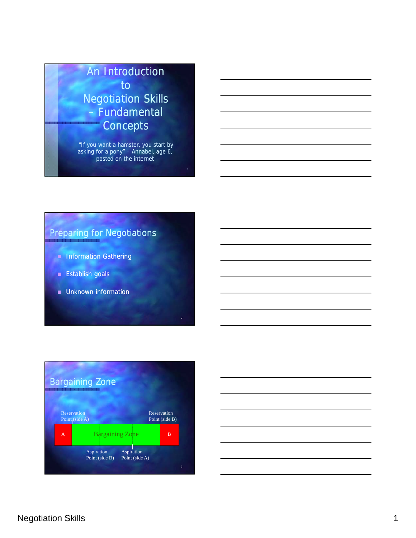## An Introduction to Negotiation Skills – Fundamental **Concepts**

"If you want a hamster, you start by asking for a pony" – Annabel, age 6, posted on the internet

## Preparing for Negotiations

- **Information Gathering**
- **Establish goals**
- **Unknown information**



2

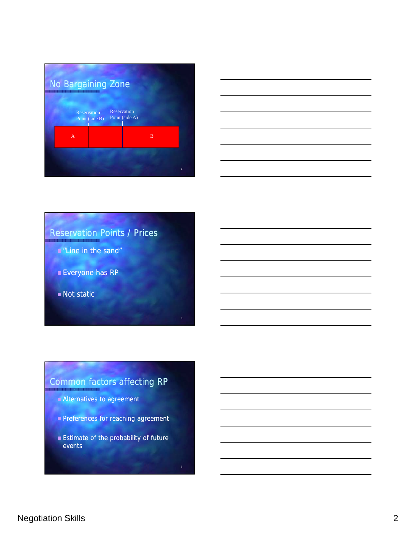



## Reservation Points / Prices

- **E** "Line in the sand"
- **Everyone has RP**
- Not static

## Common factors affecting RP

5

6

- Alternatives to agreement
- Preferences for reaching agreement Preferences for reaching
- **Estimate of the probability of future** events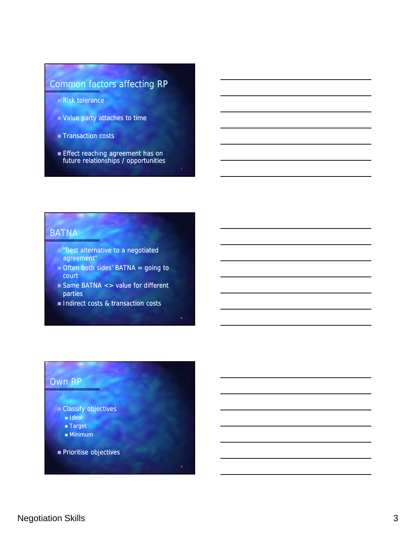## Common factors affecting RP

- Risk tolerance
- Value party attaches to time Value party attaches to
- Transaction costs
- **Effect reaching agreement has on** future relationships / opportunities

#### **BATNA**

- **E** "Best alternative to a negotiated
- agreement"
- $\blacksquare$  Often both sides' BATNA = going to court
- Same BATNA <> value for different parties

8

Indirect costs & transaction costs

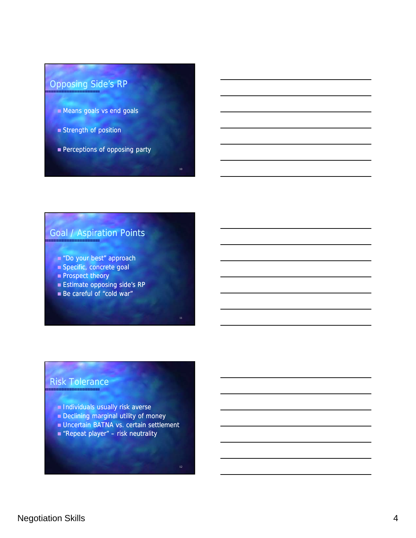## Opposing Side's RP

- **Means goals vs end goals**
- **Strength of position**
- **Perceptions of opposing party**

## Goal / Aspiration Points

- Do your best" approach
- Specific, concrete goal Specific, concrete
- **Prospect theory**
- **Estimate opposing side's RP**
- Be careful of "cold war"

#### Risk Tolerance

- **Individuals usually risk averse**
- **Declining marginal utility of money**
- **Uncertain BATNA vs. certain settlement**
- **Repeat player"** risk neutrality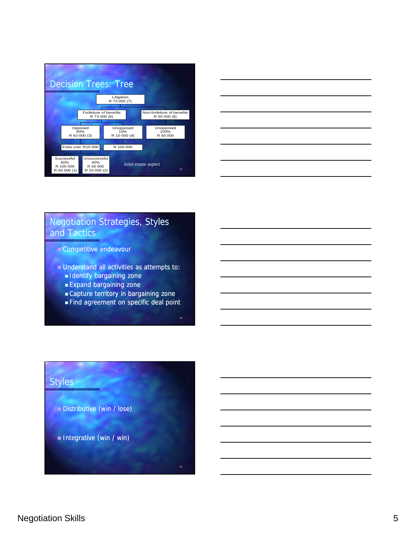| <b>Decision Trees: Tree</b>            |                                                |  |                                                 |  |                            |  |  |                                            |  |  |
|----------------------------------------|------------------------------------------------|--|-------------------------------------------------|--|----------------------------|--|--|--------------------------------------------|--|--|
|                                        |                                                |  |                                                 |  | Litigation<br>R 73 000 (7) |  |  |                                            |  |  |
|                                        |                                                |  |                                                 |  |                            |  |  |                                            |  |  |
| Forfeiture of benefits<br>R 73 000 (5) |                                                |  |                                                 |  |                            |  |  | Non-forfeiture of benefits<br>R 50 000 (6) |  |  |
|                                        |                                                |  |                                                 |  |                            |  |  |                                            |  |  |
|                                        |                                                |  | Opposed<br>90%                                  |  | Unopposed<br>10%           |  |  | Unopposed<br>100%                          |  |  |
|                                        |                                                |  | R 63 000 (3)                                    |  | R 10 000 (4)               |  |  | R 50 000                                   |  |  |
|                                        |                                                |  |                                                 |  |                            |  |  |                                            |  |  |
|                                        |                                                |  | Extra cost: R10 000                             |  | R 100 000                  |  |  |                                            |  |  |
|                                        |                                                |  |                                                 |  |                            |  |  |                                            |  |  |
|                                        | Successful<br>60%<br>R 100 000<br>R 60 000 (1) |  | Unsuccessful<br>40%<br>R 50 000<br>R 20 000 (2) |  | Joint estate aspect        |  |  | 13                                         |  |  |



### Negotiation Strategies, Styles and Tactics

- Competitive endeavour
- Understand all activities as attempts to: Understand all activities as attempts
	- **I**dentify bargaining zone
	- **Expand bargaining zone**
	- Capture territory in bargaining zone
	- Find agreement on specific deal point

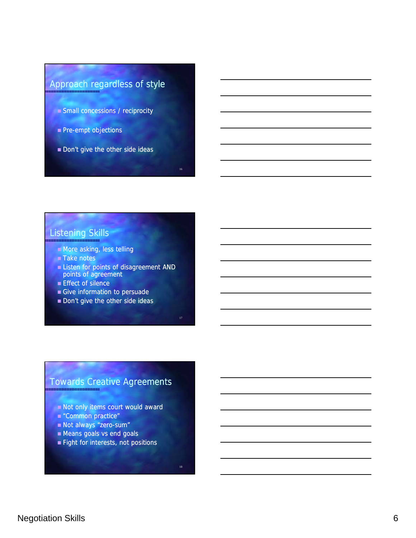## Approach regardless of style

- Small concessions / reciprocity
- $\blacksquare$  Pre-empt objections
- Don't give the other side ideas

#### Listening Skills

- **Nore asking, less telling**
- Take notes
- **Example 1** Listen for points of disagreement AND points of agreement
- **Effect of silence**
- Give information to persuade
- Don't give the other side ideas

## Towards Creative Agreements

- Not only items court would award
- "Common practice"
- Not always "zero-sum"
- **Means goals vs end goals**
- **Fight for interests, not positions**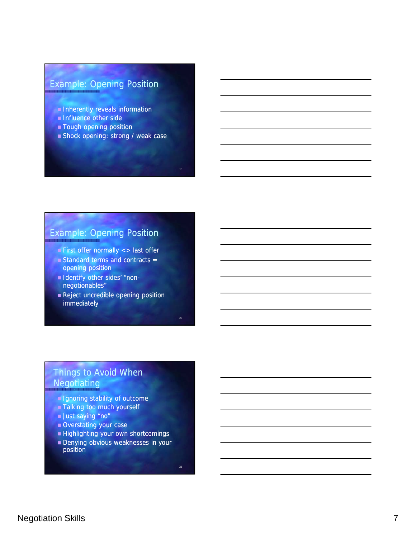## Example: Opening Position

- **Inherently reveals information**
- **Influence other side**
- **Tough opening position**
- Shock opening: strong / weak case

### Example: Opening Position

- **First offer normally**  $\lt$  **> last offer**
- Standard terms and contracts = opening position opening position
- Identify other sides' "nonnegotionables"
- Reject uncredible opening position immediately

## Things to Avoid When **Negotiating**

- **I** Ignoring stability of outcome
- Talking too much yourself
- **Just saying "no"**
- Overstating your case
- **Highlighting your own shortcomings**
- Denying obvious weaknesses in your position

Negotiation Skills 7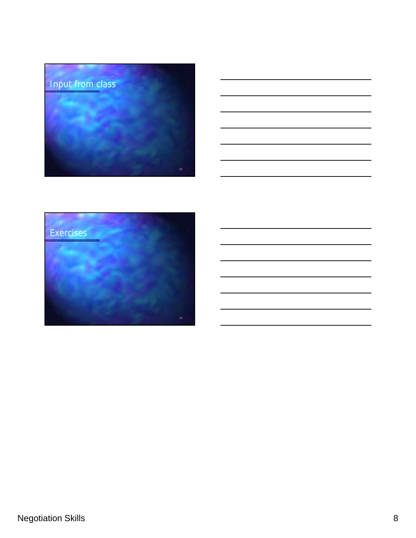



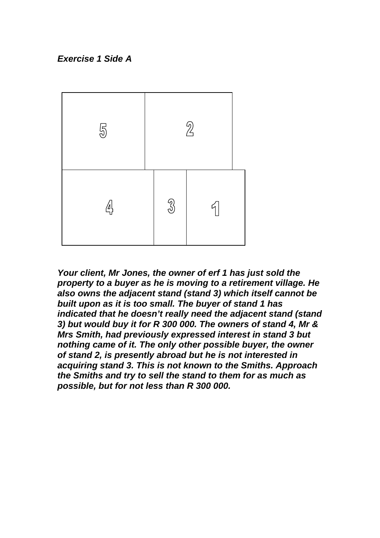### *Exercise 1 Side A*



*Your client, Mr Jones, the owner of erf 1 has just sold the property to a buyer as he is moving to a retirement village. He also owns the adjacent stand (stand 3) which itself cannot be built upon as it is too small. The buyer of stand 1 has indicated that he doesn't really need the adjacent stand (stand 3) but would buy it for R 300 000. The owners of stand 4, Mr & Mrs Smith, had previously expressed interest in stand 3 but nothing came of it. The only other possible buyer, the owner of stand 2, is presently abroad but he is not interested in acquiring stand 3. This is not known to the Smiths. Approach the Smiths and try to sell the stand to them for as much as possible, but for not less than R 300 000.*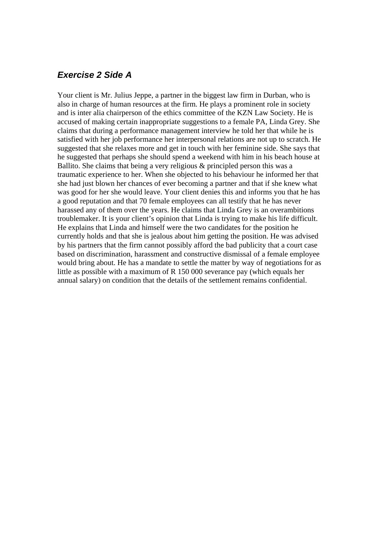#### *Exercise 2 Side A*

Your client is Mr. Julius Jeppe, a partner in the biggest law firm in Durban, who is also in charge of human resources at the firm. He plays a prominent role in society and is inter alia chairperson of the ethics committee of the KZN Law Society. He is accused of making certain inappropriate suggestions to a female PA, Linda Grey. She claims that during a performance management interview he told her that while he is satisfied with her job performance her interpersonal relations are not up to scratch. He suggested that she relaxes more and get in touch with her feminine side. She says that he suggested that perhaps she should spend a weekend with him in his beach house at Ballito. She claims that being a very religious & principled person this was a traumatic experience to her. When she objected to his behaviour he informed her that she had just blown her chances of ever becoming a partner and that if she knew what was good for her she would leave. Your client denies this and informs you that he has a good reputation and that 70 female employees can all testify that he has never harassed any of them over the years. He claims that Linda Grey is an overambitions troublemaker. It is your client's opinion that Linda is trying to make his life difficult. He explains that Linda and himself were the two candidates for the position he currently holds and that she is jealous about him getting the position. He was advised by his partners that the firm cannot possibly afford the bad publicity that a court case based on discrimination, harassment and constructive dismissal of a female employee would bring about. He has a mandate to settle the matter by way of negotiations for as little as possible with a maximum of R 150 000 severance pay (which equals her annual salary) on condition that the details of the settlement remains confidential.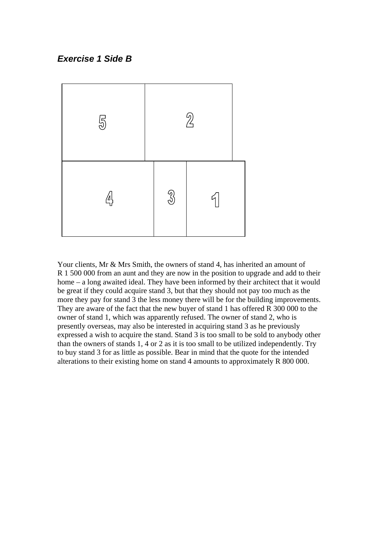#### *Exercise 1 Side B*



Your clients, Mr & Mrs Smith, the owners of stand 4, has inherited an amount of R 1 500 000 from an aunt and they are now in the position to upgrade and add to their home – a long awaited ideal. They have been informed by their architect that it would be great if they could acquire stand 3, but that they should not pay too much as the more they pay for stand 3 the less money there will be for the building improvements. They are aware of the fact that the new buyer of stand 1 has offered R 300 000 to the owner of stand 1, which was apparently refused. The owner of stand 2, who is presently overseas, may also be interested in acquiring stand 3 as he previously expressed a wish to acquire the stand. Stand 3 is too small to be sold to anybody other than the owners of stands 1, 4 or 2 as it is too small to be utilized independently. Try to buy stand 3 for as little as possible. Bear in mind that the quote for the intended alterations to their existing home on stand 4 amounts to approximately R 800 000.